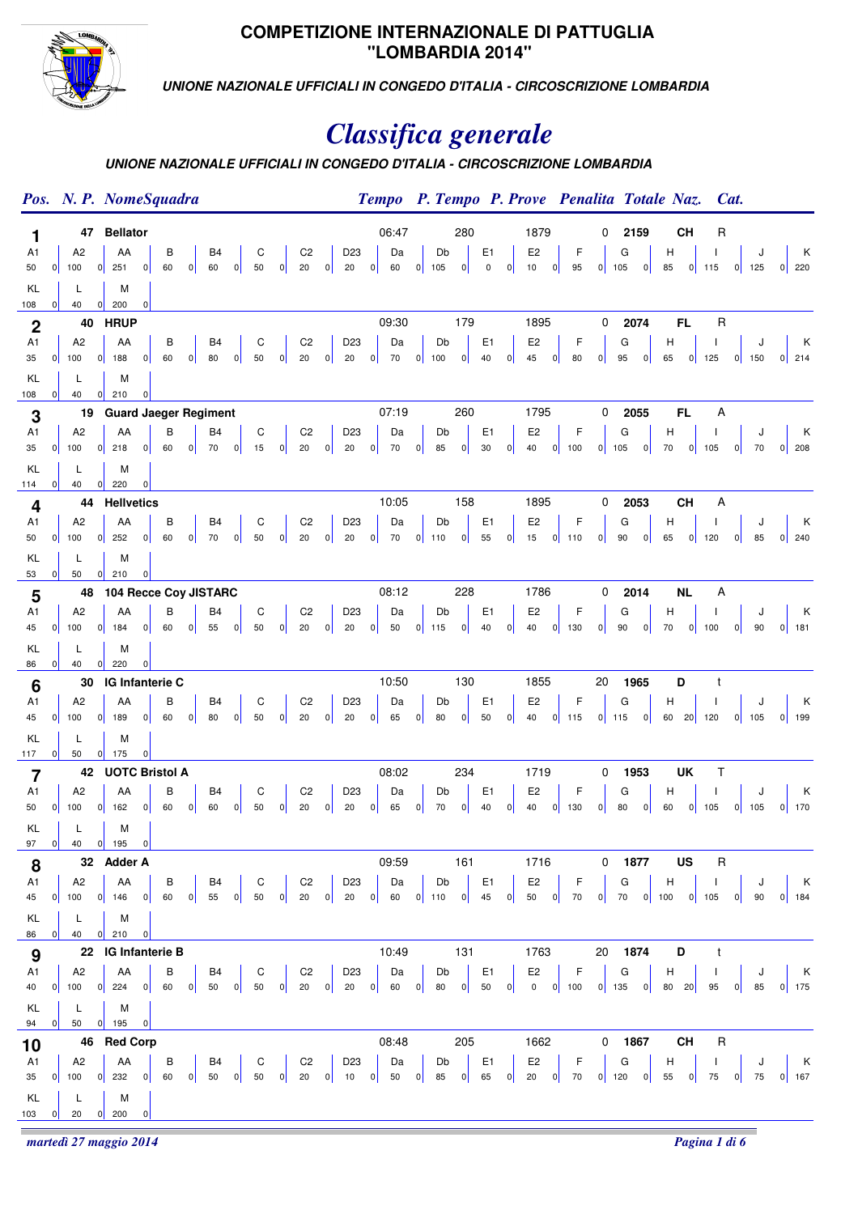

### **COMPETIZIONE INTERNAZIONALE DI PATTUGLIA "LOMBARDIA 2014"**

**UNIONE NAZIONALE UFFICIALI IN CONGEDO D'ITALIA - CIRCOSCRIZIONE LOMBARDIA**

# *Classifica generale*

## **UNIONE NAZIONALE UFFICIALI IN CONGEDO D'ITALIA - CIRCOSCRIZIONE LOMBARDIA**

|                         |   | Pos. N. P. NomeSquadra                                                                                                                                                          |                                        |                |         |   |                |   |             |   |                      |   |                       |                         |                                                      |   |               |     |                                              |   |                                           |   |             |                |                 |      | Tempo P. Tempo P. Prove Penalita Totale Naz.                          |           | Cat.         |   |         |                               |   |
|-------------------------|---|---------------------------------------------------------------------------------------------------------------------------------------------------------------------------------|----------------------------------------|----------------|---------|---|----------------|---|-------------|---|----------------------|---|-----------------------|-------------------------|------------------------------------------------------|---|---------------|-----|----------------------------------------------|---|-------------------------------------------|---|-------------|----------------|-----------------|------|-----------------------------------------------------------------------|-----------|--------------|---|---------|-------------------------------|---|
| 1                       |   |                                                                                                                                                                                 | 47 Bellator                            |                |         |   |                |   |             |   |                      |   |                       |                         | 06:47                                                |   |               | 280 |                                              |   | 1879                                      |   |             | 0              |                 | 2159 |                                                                       | <b>CH</b> | R            |   |         |                               |   |
| A1                      |   | A <sub>2</sub>                                                                                                                                                                  | AA                                     |                | В       |   | B <sub>4</sub> |   | C           |   | $\mbox{C2}$          |   | D <sub>23</sub>       |                         | Da                                                   |   | Db            |     | E <sub>1</sub>                               |   | E <sub>2</sub>                            |   | F           |                | G               |      | н                                                                     |           |              |   | J       |                               | К |
| 50                      | 0 | 100                                                                                                                                                                             | 0 <br>251                              | 0              | 60      | 0 | 60             | 0 | 50          | 0 | 20                   | 0 | 20                    | 0                       | 60                                                   | 0 | 105           | 0   | $\mathbf 0$                                  | 0 | 10                                        | 0 | 95          |                | $0$ 105         | 0    | 85                                                                    |           | $0$ 115      |   | $0$ 125 | $0 \overline{\smash{)}\ 220}$ |   |
| KL<br>108               | 0 | L<br>40                                                                                                                                                                         | M<br> 0 <br>200                        | 0              |         |   |                |   |             |   |                      |   |                       |                         |                                                      |   |               |     |                                              |   |                                           |   |             |                |                 |      |                                                                       |           |              |   |         |                               |   |
| $\boldsymbol{2}$        |   | 40                                                                                                                                                                              | <b>HRUP</b>                            |                |         |   |                |   |             |   |                      |   |                       |                         | 09:30                                                |   |               | 179 |                                              |   | 1895                                      |   |             | $\mathbf 0$    |                 | 2074 | FL.                                                                   |           | $\mathsf R$  |   |         |                               |   |
| A1                      |   | A <sub>2</sub>                                                                                                                                                                  | AA                                     |                | В       |   | B <sub>4</sub> |   | C           |   | C <sub>2</sub>       |   | D <sub>23</sub>       |                         | Da                                                   |   | Db            |     | E <sub>1</sub>                               |   | E <sub>2</sub>                            |   | F           |                | G               |      | н                                                                     |           | J.           |   |         |                               | K |
| 35                      | 0 | 100                                                                                                                                                                             | 0 <br>188                              | 0              | 60      | 0 | 80             | 0 | 50          | 0 | $20\,$               | 0 | 20                    | $\overline{\mathbf{0}}$ | 70                                                   | 0 | 100           | 0   | 40                                           | 0 | $\bf 45$                                  | 0 | 80          | 0              | 95              | 0    | 65                                                                    | 0         | 125          |   | $0$ 150 | $0$ 214                       |   |
| KL<br>108               | 0 | L<br>40                                                                                                                                                                         | M<br> 0 <br>210                        | $\overline{0}$ |         |   |                |   |             |   |                      |   |                       |                         |                                                      |   |               |     |                                              |   |                                           |   |             |                |                 |      |                                                                       |           |              |   |         |                               |   |
| 3                       |   |                                                                                                                                                                                 | 19 Guard Jaeger Regiment               |                |         |   |                |   |             |   |                      |   |                       |                         | 07:19                                                |   |               | 260 |                                              |   | 1795                                      |   |             | 0              |                 | 2055 | <b>FL</b>                                                             |           | Α            |   |         |                               |   |
| A1                      |   | A2                                                                                                                                                                              | AA                                     |                | В       |   | B <sub>4</sub> |   | C           |   | C <sub>2</sub>       |   | D <sub>23</sub>       |                         | Da                                                   |   | Db            |     | E <sub>1</sub>                               |   | E <sub>2</sub>                            |   | $\mathsf F$ |                | G               |      | H                                                                     |           |              |   | J       |                               | K |
| 35                      | 0 | 100                                                                                                                                                                             | 0 <br>218                              | 0              | 60      | 0 | 70             | 0 | 15          | 0 | $20\,$               | 0 | 20                    | 0                       | 70                                                   | 0 | 85            | 0   | 30                                           | 0 | $40\,$                                    | 0 | 100         | 0              | 105             | 0    | 70                                                                    | 0         | 105          | 0 | 70      |                               |   |
| KL                      |   | L                                                                                                                                                                               | M                                      |                |         |   |                |   |             |   |                      |   |                       |                         |                                                      |   |               |     |                                              |   |                                           |   |             |                |                 |      |                                                                       |           |              |   |         |                               |   |
| 114<br>4                | 0 | 40<br>44                                                                                                                                                                        | 0 <br>220<br><b>Hellvetics</b>         | $\overline{0}$ |         |   |                |   |             |   |                      |   |                       |                         | 10:05                                                |   |               | 158 |                                              |   | 1895                                      |   |             | 0              |                 | 2053 | <b>CH</b>                                                             |           | Α            |   |         |                               |   |
| A1                      |   | A <sub>2</sub>                                                                                                                                                                  | AA                                     |                | В       |   | B <sub>4</sub> |   | C           |   | C <sub>2</sub>       |   | D <sub>23</sub>       |                         | Da                                                   |   | Db            |     | E <sub>1</sub>                               |   | E <sub>2</sub>                            |   | $\mathsf F$ |                | G               |      | н                                                                     |           | $\mathsf{I}$ |   | J       |                               | K |
| 50                      | 0 | 100                                                                                                                                                                             | $0$ 252                                | 0              | 60      | 0 | 70             | 0 | 50          | 0 | $20\,$               | 0 | $20\,$                | 0                       | 70                                                   | 0 | 110           | 0   | 55                                           | 0 | 15                                        |   | $0$ 110     | 0              | 90              | 0    | 65                                                                    | 0         | 120          |   | $0$ 85  | $0$ 240                       |   |
| KL                      |   | L                                                                                                                                                                               | M                                      |                |         |   |                |   |             |   |                      |   |                       |                         |                                                      |   |               |     |                                              |   |                                           |   |             |                |                 |      |                                                                       |           |              |   |         |                               |   |
| 53                      | 0 | 50                                                                                                                                                                              | 210<br> 0 <br>48 104 Recce Coy JISTARC | 0              |         |   |                |   |             |   |                      |   |                       |                         | 08:12                                                |   |               | 228 |                                              |   | 1786                                      |   |             | 0              |                 | 2014 | NL                                                                    |           | A            |   |         |                               |   |
| 5<br>A1                 |   | A <sub>2</sub>                                                                                                                                                                  | AA                                     |                | В       |   | B <sub>4</sub> |   | $\mathsf C$ |   | C <sub>2</sub>       |   | D <sub>23</sub>       |                         | Da                                                   |   | Db            |     | E <sub>1</sub>                               |   | E <sub>2</sub>                            |   | F           |                | G               |      | н                                                                     |           |              |   |         |                               | K |
| 45                      | 0 | 100                                                                                                                                                                             | 0 <br>184                              | 0              | 60      | 0 | 55             | 0 | 50          | 0 | 20                   | 0 | 20                    | 0                       | 50                                                   | 0 | 115           | 0   | 40                                           | 0 | 40                                        |   | $0$ 130     | 0              | 90              | 0    | 70                                                                    | 0         | 100          | 0 | 90      | $0$ 181                       |   |
| KL                      |   | L                                                                                                                                                                               | M                                      |                |         |   |                |   |             |   |                      |   |                       |                         |                                                      |   |               |     |                                              |   |                                           |   |             |                |                 |      |                                                                       |           |              |   |         |                               |   |
| 86                      | 0 | 40                                                                                                                                                                              | 0 <br>220                              | $\overline{0}$ |         |   |                |   |             |   |                      |   |                       |                         |                                                      |   |               |     |                                              |   |                                           |   |             |                |                 |      |                                                                       |           |              |   |         |                               |   |
| 6<br>A1                 |   | 30<br>A <sub>2</sub>                                                                                                                                                            | IG Infanterie C<br>AA                  |                | В       |   | B <sub>4</sub> |   | C           |   | C <sub>2</sub>       |   | D <sub>23</sub>       |                         | 10:50<br>Da                                          |   | Db            | 130 | E <sub>1</sub>                               |   | 1855<br>E <sub>2</sub>                    |   | F           | 20             | G               | 1965 | D<br>н                                                                |           | t<br>-1      |   | J       |                               | К |
| 45                      | 0 | 100                                                                                                                                                                             | 0 <br>189                              | 0              | 60      | 0 | 80             | 0 | 50          | 0 | 20                   | 0 | 20                    | 0                       | 65                                                   | 0 | 80            | 0   | 50                                           | 0 | $40\,$                                    |   | $0$ 115     |                | $0$ 115         | 0    | 60 20 120                                                             |           |              |   | $0$ 105 | $0$ 199                       |   |
| KL                      |   | L                                                                                                                                                                               | M                                      |                |         |   |                |   |             |   |                      |   |                       |                         |                                                      |   |               |     |                                              |   |                                           |   |             |                |                 |      |                                                                       |           |              |   |         |                               |   |
| 117                     | 0 | 50                                                                                                                                                                              | 0 <br>175                              | 0              |         |   |                |   |             |   |                      |   |                       |                         |                                                      |   |               |     |                                              |   |                                           |   |             |                |                 |      |                                                                       |           |              |   |         |                               |   |
| $\overline{\mathbf{7}}$ |   |                                                                                                                                                                                 | 42 UOTC Bristol A                      |                |         |   |                |   |             |   |                      |   |                       |                         | 08:02                                                |   |               | 234 |                                              |   | 1719                                      |   |             | 0              |                 | 1953 |                                                                       | UK        | Τ            |   |         |                               |   |
| A1<br>50                |   | A2<br>$0$ 100                                                                                                                                                                   | AA<br>$0$ 162                          | 0              | В<br>60 | 0 | B4<br>60       | 0 | C<br>50     | 0 | C <sub>2</sub><br>20 | 0 | D <sub>23</sub><br>20 | 0                       | Da<br>65                                             | 0 | Db<br>70      | 0   | E <sub>1</sub><br>40                         | 0 | E <sub>2</sub><br>$40\,$                  | 0 | F<br>130    | 0              | G<br>${\bf 80}$ | 0    | Н<br>60                                                               | 0         | -1<br>105    |   | $0$ 105 | $0$ 170                       | К |
| KL                      |   | L                                                                                                                                                                               | M                                      |                |         |   |                |   |             |   |                      |   |                       |                         |                                                      |   |               |     |                                              |   |                                           |   |             |                |                 |      |                                                                       |           |              |   |         |                               |   |
|                         |   | 97 0 40 0 195 0                                                                                                                                                                 |                                        |                |         |   |                |   |             |   |                      |   |                       |                         |                                                      |   |               |     |                                              |   |                                           |   |             |                |                 |      |                                                                       |           |              |   |         |                               |   |
| 8                       |   | 32 Adder A                                                                                                                                                                      |                                        |                |         |   |                |   |             |   |                      |   |                       |                         | 09:59                                                |   |               | 161 |                                              |   | 1716                                      |   |             | $\overline{0}$ |                 | 1877 | <b>US</b>                                                             |           | R            |   |         |                               |   |
| A <sub>1</sub><br>45    | 0 | A2<br>100 $0$ 146 $0$                                                                                                                                                           | AA                                     |                | 60      |   |                |   |             |   |                      |   |                       |                         | B B B C C2 D 23 D a<br>60 0 55 0 50 0 20 0 20 0 60 0 |   | Db<br>$110$ 0 |     | $\begin{vmatrix} E1 \\ 45 & 0 \end{vmatrix}$ |   | E2 $\begin{bmatrix} 50 & 0 \end{bmatrix}$ |   | $F$<br>70   |                |                 |      | G H I J K<br>0 70 0 100 0 105 0 90 0 184                              |           |              |   |         |                               |   |
| KL                      |   | L                                                                                                                                                                               | M                                      |                |         |   |                |   |             |   |                      |   |                       |                         |                                                      |   |               |     |                                              |   |                                           |   |             |                |                 |      |                                                                       |           |              |   |         |                               |   |
|                         |   | 86 0 40 0 210                                                                                                                                                                   |                                        | 0              |         |   |                |   |             |   |                      |   |                       |                         |                                                      |   |               |     |                                              |   |                                           |   |             |                |                 |      |                                                                       |           |              |   |         |                               |   |
| 9                       |   | 22 IG Infanterie B                                                                                                                                                              |                                        |                |         |   |                |   |             |   |                      |   |                       |                         | 10:49                                                |   |               | 131 |                                              |   | 1763                                      |   |             | 20             |                 | 1874 | D                                                                     |           |              |   |         |                               |   |
|                         |   | A1   A2   AA   B   B4   C   C2   D23   Da  <br>40 0 100 0 224 0 60 0 50 0 50 0 20 0 20 0 60 0                                                                                   |                                        |                |         |   |                |   |             |   |                      |   |                       |                         |                                                      |   |               |     |                                              |   |                                           |   |             |                |                 |      | Db E1 E2 F G H I J K<br>80 0 50 0 0 0 100 0 135 0 80 20 95 0 85 0 175 |           |              |   |         |                               |   |
|                         |   |                                                                                                                                                                                 |                                        |                |         |   |                |   |             |   |                      |   |                       |                         |                                                      |   |               |     |                                              |   |                                           |   |             |                |                 |      |                                                                       |           |              |   |         |                               |   |
| KL                      |   | L.<br>94 0 50 0 195                                                                                                                                                             | M                                      | 0              |         |   |                |   |             |   |                      |   |                       |                         |                                                      |   |               |     |                                              |   |                                           |   |             |                |                 |      |                                                                       |           |              |   |         |                               |   |
| 10                      |   | 46 Red Corp                                                                                                                                                                     |                                        |                |         |   |                |   |             |   |                      |   |                       |                         | 08:48                                                |   |               | 205 |                                              |   |                                           |   | 1662        |                | $0$ 1867        |      | <b>CH</b>                                                             |           | $\mathsf{R}$ |   |         |                               |   |
|                         |   | A1   A2   AA   B   B4   C   C2   D23   Da   Db   E1   E2   F   G   H   I   J   K<br>35 0 100 0 232 0 60 0 50 0 50 0 20 0 10 0 50 0 85 0 65 0 20 0 70 0 120 0 55 0 75 0 75 0 167 |                                        |                |         |   |                |   |             |   |                      |   |                       |                         |                                                      |   |               |     |                                              |   |                                           |   |             |                |                 |      |                                                                       |           |              |   |         |                               |   |
|                         |   |                                                                                                                                                                                 |                                        |                |         |   |                |   |             |   |                      |   |                       |                         |                                                      |   |               |     |                                              |   |                                           |   |             |                |                 |      |                                                                       |           |              |   |         |                               |   |
| KL<br>$103 \qquad 0$    |   | L<br>$20 \t 0 \t 200$                                                                                                                                                           | M                                      | 0              |         |   |                |   |             |   |                      |   |                       |                         |                                                      |   |               |     |                                              |   |                                           |   |             |                |                 |      |                                                                       |           |              |   |         |                               |   |
|                         |   |                                                                                                                                                                                 |                                        |                |         |   |                |   |             |   |                      |   |                       |                         |                                                      |   |               |     |                                              |   |                                           |   |             |                |                 |      |                                                                       |           |              |   |         |                               |   |

*martedì 27 maggio 2014 Pagina 1 di 6*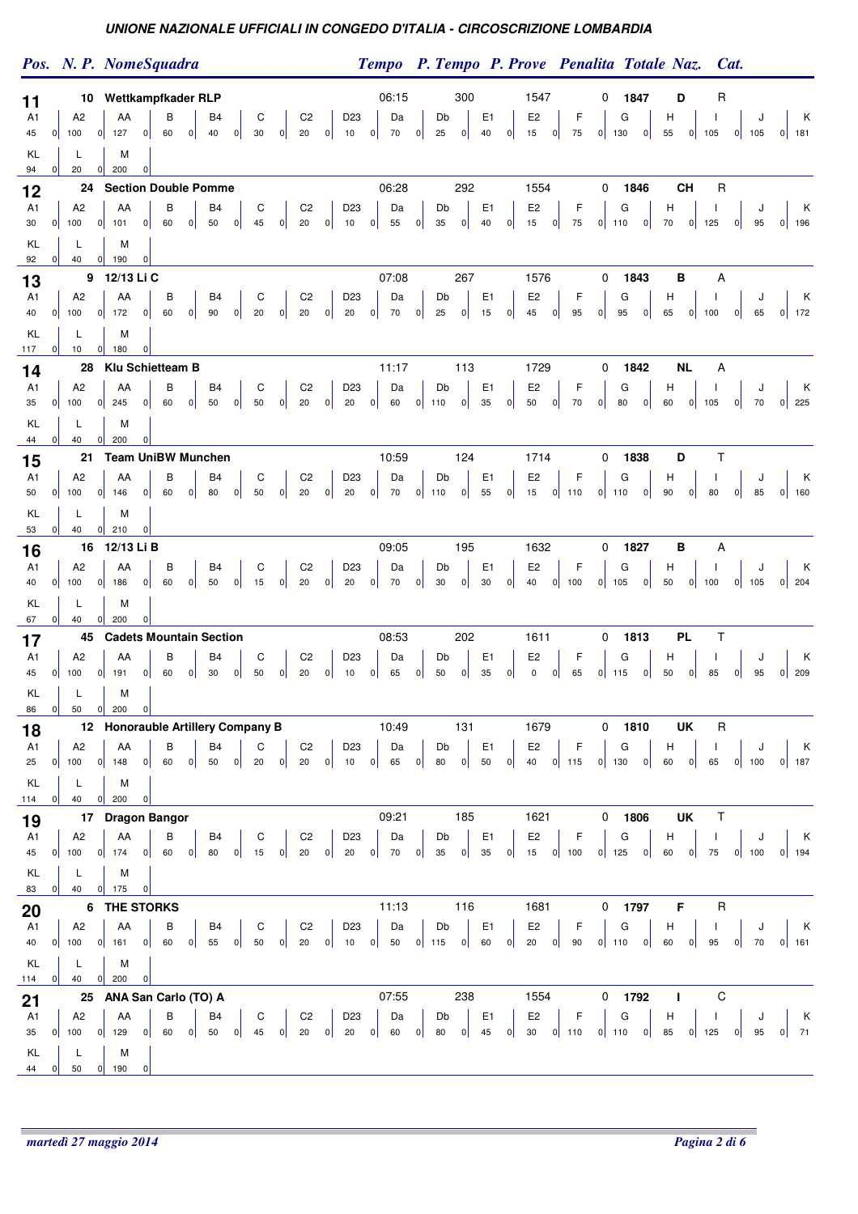Pos. N. P. NomeSquadra **P. Tempo P. Tempo P. Prove** Penalita Totale Naz. Cat.

|                      |   |                                      | 10 Wettkampfkader RLP             |         |             |                      |   |                       |                      |                      |   |                       |                                                                                                                                                                    | 06:15       |         |              | 300 |                      |                                               | 1547                          |   |                                                                                  | 0 |              | 1847 | D                 |           | R            |   |              |                                                                                               |
|----------------------|---|--------------------------------------|-----------------------------------|---------|-------------|----------------------|---|-----------------------|----------------------|----------------------|---|-----------------------|--------------------------------------------------------------------------------------------------------------------------------------------------------------------|-------------|---------|--------------|-----|----------------------|-----------------------------------------------|-------------------------------|---|----------------------------------------------------------------------------------|---|--------------|------|-------------------|-----------|--------------|---|--------------|-----------------------------------------------------------------------------------------------|
| 11<br>A1             |   | A <sub>2</sub>                       | AA                                | В       |             | B <sub>4</sub>       |   | C                     |                      | C <sub>2</sub>       |   | D <sub>23</sub>       |                                                                                                                                                                    | Da          |         | Db           |     | E <sub>1</sub>       |                                               | E <sub>2</sub>                |   | F                                                                                |   | G            |      | н                 |           |              |   | J            | k K                                                                                           |
| 45                   | 0 | 100                                  | $0$ 127<br> 0                     | 60      | 0           | 40                   | 0 | 30                    | 0                    | 20                   | 0 | 10                    | 0                                                                                                                                                                  | 70          | 0       | 25           | 0   | 40                   | 0                                             | 15                            | 0 | 75                                                                               |   | $0$ 130      | 0    | 55                |           | $0$ 105      |   | $0$ 105      | $0$ 181                                                                                       |
| KL                   |   | L                                    | M                                 |         |             |                      |   |                       |                      |                      |   |                       |                                                                                                                                                                    |             |         |              |     |                      |                                               |                               |   |                                                                                  |   |              |      |                   |           |              |   |              |                                                                                               |
| 94                   | 0 | 20                                   | 0 <br>200<br> 0                   |         |             |                      |   |                       |                      |                      |   |                       |                                                                                                                                                                    | 06:28       |         |              | 292 |                      |                                               | 1554                          |   |                                                                                  | 0 |              | 1846 |                   | <b>CH</b> | R            |   |              |                                                                                               |
| 12<br>A1             |   | A <sub>2</sub>                       | 24 Section Double Pomme<br>AA     | В       |             | B <sub>4</sub>       |   | C                     |                      | C <sub>2</sub>       |   | D <sub>23</sub>       |                                                                                                                                                                    | Da          |         | Db           |     | E <sub>1</sub>       |                                               | E <sub>2</sub>                |   | F                                                                                |   | G            |      | н                 |           |              |   | J            | Κ                                                                                             |
| 30                   | 0 | 100                                  | 0 <br> 0 <br>101                  | 60      | 0           | 50                   | 0 | 45                    | 0                    | 20                   | 0 | 10                    | 0                                                                                                                                                                  | 55          | 0       | 35           | 0   | 40                   | 0                                             | 15                            | 0 | 75                                                                               |   | $0$ 110      | 0    | 70                | 0         | 125          | 0 | 95           | $0$ 196                                                                                       |
| KL                   |   | L                                    | M                                 |         |             |                      |   |                       |                      |                      |   |                       |                                                                                                                                                                    |             |         |              |     |                      |                                               |                               |   |                                                                                  |   |              |      |                   |           |              |   |              |                                                                                               |
| 92                   | 0 | - 40                                 | 190<br>$\overline{0}$<br> 0       |         |             |                      |   |                       |                      |                      |   |                       |                                                                                                                                                                    |             |         |              |     |                      |                                               |                               |   |                                                                                  |   |              |      |                   |           |              |   |              |                                                                                               |
| 13<br>A1             |   | A <sub>2</sub>                       | 9 12/13 Li C<br>AA                | В       |             | B <sub>4</sub>       |   | C                     |                      | C <sub>2</sub>       |   | D <sub>23</sub>       |                                                                                                                                                                    | 07:08<br>Da |         | Db           | 267 | E <sub>1</sub>       |                                               | 1576<br>E <sub>2</sub>        |   | F                                                                                | 0 |              | 1843 | в<br>н            |           | Α            |   | J            | K                                                                                             |
| 40                   | 0 | 100                                  | $0$ 172<br> 0                     | 60      | 0           | 90                   | 0 | 20                    | 0                    | 20                   | 0 | 20                    | 0                                                                                                                                                                  | 70          | 0       | 25           | 0   | 15                   | 0                                             | 45                            | 0 | 95                                                                               | 0 | G<br>95      | 0    | 65                | 0         | 100          | 0 | 65           | $0$ 172                                                                                       |
| KL                   |   | L                                    | M                                 |         |             |                      |   |                       |                      |                      |   |                       |                                                                                                                                                                    |             |         |              |     |                      |                                               |                               |   |                                                                                  |   |              |      |                   |           |              |   |              |                                                                                               |
| 117                  | 0 | 10                                   | 0 <br>180<br>$\overline{0}$       |         |             |                      |   |                       |                      |                      |   |                       |                                                                                                                                                                    |             |         |              |     |                      |                                               |                               |   |                                                                                  |   |              |      |                   |           |              |   |              |                                                                                               |
| 14<br>A1             |   | A <sub>2</sub>                       | 28 Klu Schietteam B<br>AA         | В       |             | B4                   |   | C                     |                      | C <sub>2</sub>       |   | D <sub>23</sub>       |                                                                                                                                                                    | 11:17<br>Da |         | Db           | 113 | E <sub>1</sub>       |                                               | 1729<br>E <sub>2</sub>        |   | F                                                                                | 0 | G            | 1842 |                   | <b>NL</b> | Α            |   | J            | K                                                                                             |
| 35                   | 0 | 100                                  | 0 <br>245<br> 0                   | 60      | 0           | 50                   | 0 | 50                    | 0                    | 20                   | 0 | 20                    | 0                                                                                                                                                                  | 60          | 0       | 110          | 0   | 35                   | 0                                             | 50                            | 0 | 70                                                                               | 0 | 80           | 0    | H<br>60           | 0         | 105          | 0 | 70           | $0 \overline{\smash{)}225}$                                                                   |
| KL                   |   | L                                    | M                                 |         |             |                      |   |                       |                      |                      |   |                       |                                                                                                                                                                    |             |         |              |     |                      |                                               |                               |   |                                                                                  |   |              |      |                   |           |              |   |              |                                                                                               |
| 44                   | 0 | 40                                   | 0 <br>200<br> 0                   |         |             |                      |   |                       |                      |                      |   |                       |                                                                                                                                                                    |             |         |              |     |                      |                                               |                               |   |                                                                                  |   |              |      |                   |           |              |   |              |                                                                                               |
| 15                   |   | 21                                   | <b>Team UniBW Munchen</b>         |         |             |                      |   |                       |                      |                      |   |                       |                                                                                                                                                                    | 10:59       |         |              | 124 |                      |                                               | 1714                          |   |                                                                                  | 0 |              | 1838 | D                 |           | Τ            |   |              |                                                                                               |
| A1<br>50             |   | A <sub>2</sub><br>$0$ 100            | AA<br>$0$ 146<br> 0               | В<br>60 | 0           | B4<br>80             | 0 | $\mathbf C$<br>50     | 0                    | C <sub>2</sub><br>20 | 0 | D <sub>23</sub><br>20 | 0                                                                                                                                                                  | Da<br>70    | $0$ 110 | Db           | 0   | E <sub>1</sub><br>55 | 0                                             | E <sub>2</sub><br>15          |   | F<br>$0$ 110                                                                     |   | G<br>$0$ 110 | 0    | н<br>90           | 0         | -1<br>80     | 0 | J<br>85      | K<br>$0$ 160                                                                                  |
| KL                   |   | L                                    | M                                 |         |             |                      |   |                       |                      |                      |   |                       |                                                                                                                                                                    |             |         |              |     |                      |                                               |                               |   |                                                                                  |   |              |      |                   |           |              |   |              |                                                                                               |
| 53                   | 0 | 40                                   | 0 <br>210<br> 0                   |         |             |                      |   |                       |                      |                      |   |                       |                                                                                                                                                                    |             |         |              |     |                      |                                               |                               |   |                                                                                  |   |              |      |                   |           |              |   |              |                                                                                               |
| 16                   |   |                                      | 16 12/13 Li B                     |         |             |                      |   |                       |                      |                      |   |                       |                                                                                                                                                                    | 09:05       |         |              | 195 |                      |                                               | 1632                          |   |                                                                                  | 0 |              | 1827 | в                 |           | Α            |   |              |                                                                                               |
| A1<br>40             | 0 | A <sub>2</sub><br>100                | AA<br>$0$ 186<br> 0               | В<br>60 | 0           | B <sub>4</sub><br>50 | 0 | C<br>15               | 0                    | C <sub>2</sub><br>20 | 0 | D <sub>23</sub><br>20 | 0                                                                                                                                                                  | Da<br>70    | 0       | Db<br>30     | 0   | E <sub>1</sub><br>30 | 0                                             | E <sub>2</sub><br>40          | 0 | F<br>100                                                                         |   | G<br>$0$ 105 | 0    | н<br>50           |           | $0$ 100      |   | J<br>$0$ 105 | – K<br>$0 \quad 204$                                                                          |
| KL                   |   | L                                    | M                                 |         |             |                      |   |                       |                      |                      |   |                       |                                                                                                                                                                    |             |         |              |     |                      |                                               |                               |   |                                                                                  |   |              |      |                   |           |              |   |              |                                                                                               |
| 67                   | 0 | 40                                   | 0 <br>200<br>$\overline{0}$       |         |             |                      |   |                       |                      |                      |   |                       |                                                                                                                                                                    |             |         |              |     |                      |                                               |                               |   |                                                                                  |   |              |      |                   |           |              |   |              |                                                                                               |
| 17                   |   | 45                                   | <b>Cadets Mountain Section</b>    |         |             |                      |   |                       |                      |                      |   |                       |                                                                                                                                                                    | 08:53       |         |              | 202 |                      |                                               | 1611                          |   |                                                                                  | 0 |              | 1813 |                   | <b>PL</b> | Τ            |   |              |                                                                                               |
| A1<br>45             | 0 | A <sub>2</sub><br>100                | AA<br> 0 <br>191<br> 0            | В<br>60 | 0           | B <sub>4</sub><br>30 | 0 | C<br>50               | 0                    | C <sub>2</sub><br>20 | 0 | D23<br>10             | 0                                                                                                                                                                  | Da<br>65    | 0       | Db<br>50     | 0   | E <sub>1</sub><br>35 | 0                                             | E <sub>2</sub><br>$\mathbf 0$ | 0 | F<br>65                                                                          |   | G<br>$0$ 115 | 0    | H<br>50           | 0         | J.<br>85     | 0 | J<br>95      | К<br>$0\vert 209$                                                                             |
| KL                   |   | L                                    | M                                 |         |             |                      |   |                       |                      |                      |   |                       |                                                                                                                                                                    |             |         |              |     |                      |                                               |                               |   |                                                                                  |   |              |      |                   |           |              |   |              |                                                                                               |
| 86                   | 0 | 50                                   | $0 \mid 200$<br> 0                |         |             |                      |   |                       |                      |                      |   |                       |                                                                                                                                                                    |             |         |              |     |                      |                                               |                               |   |                                                                                  |   |              |      |                   |           |              |   |              |                                                                                               |
| 18                   |   |                                      | 12 Honorauble Artillery Company B |         |             |                      |   |                       |                      |                      |   |                       |                                                                                                                                                                    | 10:49       |         |              | 131 |                      |                                               | 1679                          |   |                                                                                  |   | $0$ 1810     |      |                   | UK        | R            |   |              |                                                                                               |
| A1                   |   | A <sub>2</sub><br>25 $0$ 100 $0$ 148 | AA                                | $0$ 60  | $0 \mid 50$ | B <sub>4</sub>       |   | С<br>$0\overline{20}$ |                      | C <sub>2</sub>       |   | D <sub>23</sub>       |                                                                                                                                                                    | Da          |         | Db           |     | E <sub>1</sub>       |                                               | E <sub>2</sub>                |   | $\mathsf F$                                                                      |   | G            |      | $\mathsf H$       |           |              |   |              | $\mathsf{K}$<br>E2   F   G   H   I   J   K<br>40 0 115 0 130 0 60 0 65 0 100 0 187            |
| KL                   |   | L                                    | M                                 |         |             |                      |   |                       |                      |                      |   |                       |                                                                                                                                                                    |             |         |              |     |                      |                                               |                               |   |                                                                                  |   |              |      |                   |           |              |   |              |                                                                                               |
| 114                  | 0 | 40                                   | $0\vert 200$<br> 0                |         |             |                      |   |                       |                      |                      |   |                       |                                                                                                                                                                    |             |         |              |     |                      |                                               |                               |   |                                                                                  |   |              |      |                   |           |              |   |              |                                                                                               |
| 19                   |   |                                      | 17 Dragon Bangor                  |         |             |                      |   |                       |                      |                      |   |                       |                                                                                                                                                                    | 09:21       |         |              | 185 |                      |                                               | 1621                          |   |                                                                                  | 0 |              | 1806 |                   | UK        | $\mathsf{T}$ |   |              |                                                                                               |
| A <sub>1</sub><br>45 | 0 | A2<br>$100$ 0 174                    | AA<br> 0                          | B<br>60 | 0           | B <sub>4</sub><br>80 | 0 | ${\rm C}$<br>15       | 0                    | C <sub>2</sub><br>20 |   | D <sub>23</sub>       | $\begin{array}{ c c c c c c } \hline \multicolumn{1}{ c }{0} & \multicolumn{1}{ c }{20} & \multicolumn{1}{ c }{0} & \multicolumn{1}{ c }{70} \\\hline \end{array}$ | Da          | 0       | Db<br>$35\,$ | 0   | E <sub>1</sub><br>35 | 0                                             | E <sub>2</sub>                |   | $\mathsf F$<br>15 $0$ 100 $0$ 125 $0$                                            |   | G            |      | $\mathsf H$<br>60 | 0         | Л.<br>75     |   | $\mathsf{J}$ | $\mathsf{K}$<br>$0$ 100 0 194                                                                 |
| KL                   |   | L                                    | M                                 |         |             |                      |   |                       |                      |                      |   |                       |                                                                                                                                                                    |             |         |              |     |                      |                                               |                               |   |                                                                                  |   |              |      |                   |           |              |   |              |                                                                                               |
| 83                   | 0 | 40                                   | 175<br>$\overline{0}$<br> 0       |         |             |                      |   |                       |                      |                      |   |                       |                                                                                                                                                                    |             |         |              |     |                      |                                               |                               |   |                                                                                  |   |              |      |                   |           |              |   |              |                                                                                               |
| 20                   |   |                                      | 6 THE STORKS                      |         |             |                      |   |                       |                      |                      |   |                       |                                                                                                                                                                    | 11:13       |         |              | 116 |                      |                                               | 1681                          |   |                                                                                  | 0 |              | 1797 | F                 |           | R            |   |              |                                                                                               |
| A1                   |   | A2<br>$0$ 100                        | AA<br> 0 <br>$0$ 161              | В<br>60 |             | <b>B4</b>            |   | ${\rm C}$             |                      | C <sub>2</sub>       |   | D <sub>23</sub>       |                                                                                                                                                                    | Da          |         | Db           |     | E1                   | $\begin{array}{c} \circ \\ \circ \end{array}$ |                               |   | E2   F   G   $\begin{bmatrix} 1 & 0 & 0 \\ 0 & 0 & 0 \\ 0 & 0 & 0 \end{bmatrix}$ |   |              |      | H                 |           | $\mathbf{I}$ |   | J            | $\begin{array}{c} \begin{array}{c} \end{array}$<br>60 0 95 0 70 0 161                         |
| 40                   |   | L                                    | M                                 |         |             |                      |   |                       |                      |                      |   |                       |                                                                                                                                                                    |             |         |              |     |                      |                                               |                               |   |                                                                                  |   |              |      |                   |           |              |   |              |                                                                                               |
| KL<br>114            |   | $0 \mid 40$                          | 0 <br>200<br> 0                   |         |             |                      |   |                       |                      |                      |   |                       |                                                                                                                                                                    |             |         |              |     |                      |                                               |                               |   |                                                                                  |   |              |      |                   |           |              |   |              |                                                                                               |
| 21                   |   |                                      | 25 ANA San Carlo (TO) A           |         |             |                      |   |                       |                      |                      |   |                       |                                                                                                                                                                    | 07:55       |         |              | 238 |                      |                                               | 1554                          |   |                                                                                  |   | $0$ 1792     |      | $\mathbf{I}$      |           | $\mathsf C$  |   |              |                                                                                               |
| A1                   |   | A <sub>2</sub>                       | AA                                | В       |             | B <sub>4</sub>       |   |                       | $C \qquad \qquad CC$ |                      |   | D <sub>23</sub>       |                                                                                                                                                                    | Da          |         | Db           |     | E1                   |                                               | E <sub>2</sub>                |   | $\mathsf F$                                                                      |   | G            |      | H                 |           |              |   | J            | $\mathsf{K}$<br>0 60 0 50 0 45 0 20 0 20 0 60 0 80 0 45 0 30 0 110 0 110 0 85 0 125 0 95 0 71 |
| 35                   |   | $0$ 100                              | $0$ 129                           |         |             |                      |   |                       |                      |                      |   |                       |                                                                                                                                                                    |             |         |              |     |                      |                                               |                               |   |                                                                                  |   |              |      |                   |           |              |   |              |                                                                                               |
| KL<br>44             | 0 | L<br>50                              | M<br>$0$ 190<br>$\overline{0}$    |         |             |                      |   |                       |                      |                      |   |                       |                                                                                                                                                                    |             |         |              |     |                      |                                               |                               |   |                                                                                  |   |              |      |                   |           |              |   |              |                                                                                               |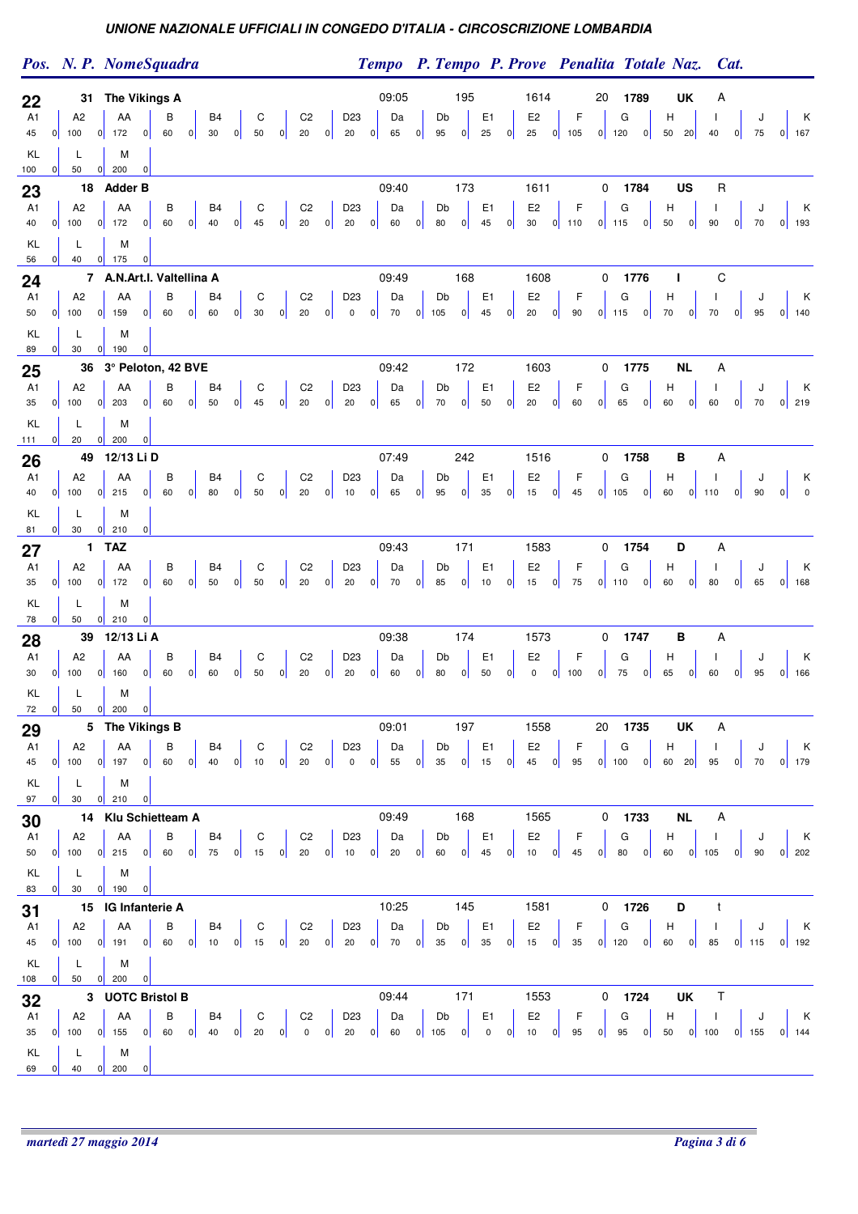|                                        |          |                                                        | Pos. N. P. NomeSquadra                                                                                                                                                                             |                                                                              |                                                        | Tempo P. Tempo P. Prove Penalita Totale Naz.                                                          | Cat.                                                                                                                        |
|----------------------------------------|----------|--------------------------------------------------------|----------------------------------------------------------------------------------------------------------------------------------------------------------------------------------------------------|------------------------------------------------------------------------------|--------------------------------------------------------|-------------------------------------------------------------------------------------------------------|-----------------------------------------------------------------------------------------------------------------------------|
| 22<br>A1<br>45<br>KL                   | 0        | A <sub>2</sub><br>100<br>L                             | 31 The Vikings A<br>B <sub>4</sub><br>C<br>C <sub>2</sub><br>AA<br>В<br> 0 <br> 0 <br> 0 <br> 0 <br>50<br> 0 <br>20<br>172<br> 0 <br>60<br>30<br>M                                                 | 09:05<br>D <sub>23</sub><br>Da<br>20<br>65<br> 0                             | 195<br>Db<br>E <sub>1</sub><br>95<br> 0 <br>25<br> 0   | 1614<br>20<br>1789<br>F<br>G<br>E <sub>2</sub><br>н<br> 0 <br>25<br>$0$ 105<br>$0$ 120                | UK<br>A<br>К<br>J<br>J.<br>$50$ 20<br>40<br> 0 <br>75<br>$0$ 167                                                            |
| 100<br>23<br>A1<br>40<br>KL            | 0 <br> 0 | 50<br>A <sub>2</sub><br>100<br>L                       | 0 <br>200<br> 0 <br>18 Adder B<br>C<br>C <sub>2</sub><br>AA<br>В<br><b>B4</b><br>$20\,$<br> 0 <br>$0$ 172<br> 0 <br>60<br> 0 <br>40<br> 0 <br>45<br> 0 <br>M                                       | 09:40<br>Da<br>D23<br>$20\degree$<br> 0 <br>$\overline{\phantom{a}}$ 0<br>60 | 173<br>Db<br>E <sub>1</sub><br>45<br>80<br> 0 <br> 0   | 1611<br>0<br>1784<br>F<br>E <sub>2</sub><br>G<br>н<br> 0 <br>30<br>$0$ 110<br>$0$ 115<br>50           | US<br>R<br>К<br>J.<br>J<br> 0 <br>90<br> 0 <br>70<br>$0$ 193                                                                |
| 56<br>24<br>A1<br>50<br>KL             | 0 <br> 0 | 40<br>A <sub>2</sub><br>100<br>L                       | 0 <br>175<br> 0 <br>7 A.N.Art.I. Valtellina A<br>В<br>C<br>AA<br>B <sub>4</sub><br>C <sub>2</sub><br> 0 <br> 0 <br> 0 <br> 0 <br> 0 <br> 0 <br>60<br>60<br>20<br>159<br>30<br>M                    | 09:49<br>D <sub>23</sub><br>Da<br> 0 <br> 0 <br>$\overline{0}$<br>70         | 168<br>E <sub>1</sub><br>Db<br>45<br> 0 <br> 0 <br>105 | 1608<br>0<br>1776<br>т<br>E <sub>2</sub><br>F<br>G<br>H<br>$0$ 115<br> 0 <br>70<br>20<br> 0 <br>90    | С<br>К<br>J.<br>J<br> 0 <br>70<br> 0 <br>$0$ 140<br>95                                                                      |
| 89<br>25<br>A1<br>35<br>KL             | 0        | 30<br>A2<br>$0$ 100<br>L                               | $0$ 190<br>$\overline{0}$<br>36 3° Peloton, 42 BVE<br>${\rm C}$<br>C <sub>2</sub><br>AA<br>В<br>B4<br> 0 <br> 0 <br> 0 <br> 0 <br>20<br>$0$ 203<br>60<br>50<br>45<br> 0 <br>M                      | 09:42<br>D <sub>23</sub><br>Da<br>20<br> 0 <br>65                            | 172<br>E <sub>1</sub><br>Db<br>70<br> 0 <br>50<br> 0   | 1775<br>1603<br>0<br>E <sub>2</sub><br>F<br>G<br>H<br> 0 <br>20<br> 0 <br>60<br> 0 <br>65<br>60       | <b>NL</b><br>А<br>K<br>J<br>J.<br> 0 <br>60<br> 0 <br>$0$ 219<br>70                                                         |
| 111<br>26<br>A1<br>40<br>KL            | 0 <br> 0 | 20<br>A <sub>2</sub><br>100<br>L                       | 0 <br>200<br> 0 <br>49 12/13 Li D<br>C<br>C <sub>2</sub><br>AA<br>В<br>B4<br> 0 <br> 0 <br> 0 <br>60<br>80<br> 0 <br>50<br> 0 <br>20<br>$0$ 215<br>M                                               | 07:49<br>D <sub>23</sub><br>Da<br> 0 <br>65<br>10                            | 242<br>Db<br>E <sub>1</sub><br>35<br> 0 <br>95<br> 0   | 0<br>1758<br>1516<br>F<br>E <sub>2</sub><br>G<br>H<br>45<br> 0 <br>15<br> 0 <br>$0$ 105<br>60         | B<br>A<br>К<br>J<br>$\overline{\mathbf{0}}$<br>$0$ 110<br> 0 <br>90<br> 0                                                   |
| 81<br>27<br>A1<br>35<br>KL             | 0 <br> 0 | 30<br>A <sub>2</sub><br>100<br>L                       | 0 <br>210<br> 0 <br>1 TAZ<br>C<br>C <sub>2</sub><br>AA<br>В<br>B <sub>4</sub><br> 0 <br> 0 <br> 0 <br>50<br> 0 <br>20<br>172<br> 0 <br>60<br> 0 <br>50<br>M                                        | 09:43<br>D <sub>23</sub><br>Da<br>20<br> 0 <br>70                            | 171<br>E <sub>1</sub><br>Db<br>85<br> 0 <br>10<br> 0   | 1754<br>1583<br>0<br>E <sub>2</sub><br>F<br>G<br>H<br>15<br>75<br> 0 <br> 0 <br>$0$ 110<br>60         | Α<br>D<br>Κ<br>$\mathbf{I}$<br>J<br> 0 <br> 0 <br>80<br>65<br>$0$ 168                                                       |
| 78<br>28<br>A1<br>30<br>KL             | 0        | 50<br>A <sub>2</sub><br>$0$ 100<br>L<br>$0$ 50 $0$ 200 | 0 <br>210<br>$\overline{0}$<br>39 12/13 Li A<br>В<br>C<br>C <sub>2</sub><br>AA<br>B4<br> 0 <br>$20\,$<br> 0 <br>160<br>60<br>60<br> 0 <br>50<br> 0 <br> 0 <br> 0 <br>M<br>$\overline{\phantom{0}}$ | 09:38<br>D23<br>Da<br>20<br>60<br> 0                                         | 174<br>E <sub>1</sub><br>Db<br>50<br>80<br> 0 <br> 0   | 1573<br>0<br>1747<br>F<br>E <sub>2</sub><br>G<br>н<br>$\mathbf 0$<br>75<br> 0 <br>$0$ 100<br>65<br> 0 | в<br>Α<br>Κ<br>J<br>J.<br>60<br> 0 <br> 0 <br>95<br>$0$ 166                                                                 |
| 72<br>29<br>A <sub>1</sub><br>45<br>KL | 0        | A2<br>$100$ 0 197<br>L.                                | 5 The Vikings B<br>$\mathsf{C}2$<br>AA<br>$\mathsf{C}$<br>В<br>B4<br> 0 <br> 0 <br>40<br> 0 <br>10<br> 0 <br>20<br> 0 <br>60<br>м                                                                  | 09:01<br>Da<br>D <sub>23</sub><br>55<br>$\overline{0}$<br> 0 <br> 0          | 197<br>Db<br>E <sub>1</sub><br>35<br>15<br> 0 <br> 0   | 1558<br>20<br>1735<br>F<br>G<br>$\mathsf H$<br>E <sub>2</sub><br>45<br>95<br>$0$ 100 $0$<br> 0        | <b>UK</b><br>A<br>$\mathbf{I}$<br>J<br>$\begin{array}{\mathsf{K}}\\ \hline \end{array}$<br>60 20<br>95<br> 0 <br>70  0  179 |
| 97<br>30<br>A1<br>50<br>KL             | 0        | $30 \t 0 \t 210$<br>A2<br>$0$ 100 0 215<br>L           | 0 <br>14 Klu Schietteam A<br><b>B4</b><br>C <sub>2</sub><br>AA<br>$\overline{B}$<br>60 0 75 0 15 0 20 0 10 0 20 0<br> 0 <br>M                                                                      | 09:49<br>Da<br>D <sub>23</sub>                                               | 168<br>E1<br>Db<br>45<br>60<br> 0                      | 1565<br>$0$ 1733<br>E <sub>2</sub><br>$\vert$ F<br>G<br>H<br>45<br>$0$ 10<br> 0                       | <b>NL</b><br>Α<br>$\mathsf{K}$<br>J<br>J.<br>60 0 105<br>$0$ 90<br>$0 \vert 202$                                            |
| 31<br>A1<br>45<br>KL                   |          | 83 0 30 0 190<br>A2<br>L.                              | 0 <br>15 IG Infanterie A<br><b>B4</b><br>C <sub>2</sub><br>AA<br>В<br>0 100 0 191 0 60 0 10 0 15 0 20 0 20 0 70 0 35 0 35<br>м                                                                     | 10:25<br>D <sub>23</sub><br>Da                                               | 145<br>Db<br>E <sub>1</sub>                            | $0$ 1726<br>1581<br>E <sub>2</sub><br>G<br>H<br>0 15 0 35 0 120 0 60 0 85 0 115 0 192                 | D<br>t<br>$\mathsf{K}$<br>$\mathbf{I}$<br>J                                                                                 |
| 108<br>32<br>A1<br>KL<br>69            | 0        | $0 \mid 50$<br> 0 <br>A2<br>L<br>40                    | 200<br> 0 <br>3 UOTC Bristol B<br><b>B4</b><br>$C \parallel$<br>C <sub>2</sub><br>AA<br>$\overline{B}$<br>35 0 100 0 155 0 60 0 40 0 20 0 0 0<br>M<br>$0\vert 200$<br> 0                           | 09:44<br>Da<br>D <sub>23</sub>                                               | 171<br>Db<br>E <sub>1</sub>                            | $0$ 1724<br>1553<br>$E2 \mid F$<br>G<br>20 0 60 0 105 0 0 0 10 0 95 0 95 0 50 0 100 0 155 0 144       | $\mathsf T$<br>UK<br>$H \parallel$ 1<br>J<br>$\mathsf{K}$                                                                   |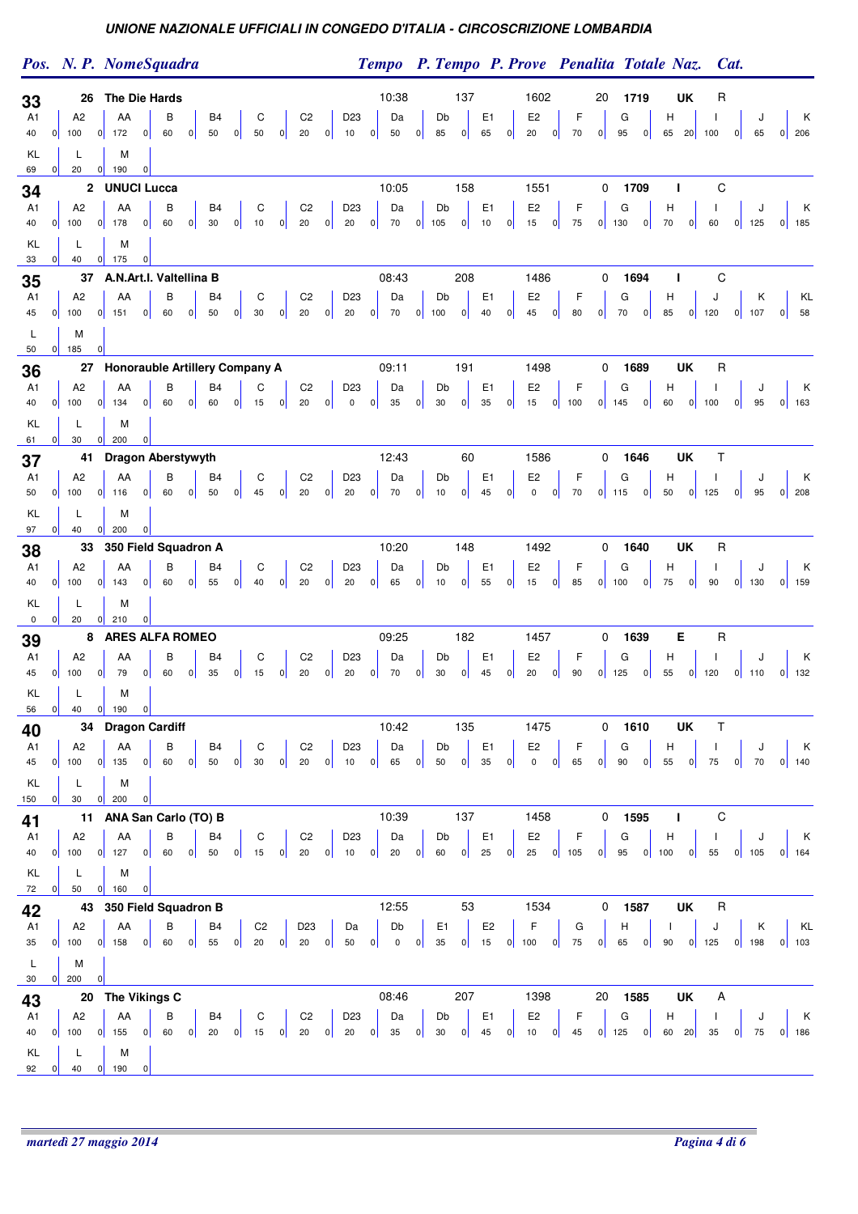|                            |          |                                  | Pos. N. P. NomeSquadra                                                                                                                                    |                         | Tempo P. Tempo P. Prove Penalita Totale Naz.                    |                              |           |                      |                                           |                   |                                |                        |                             | Cat.                     |                |                              |
|----------------------------|----------|----------------------------------|-----------------------------------------------------------------------------------------------------------------------------------------------------------|-------------------------|-----------------------------------------------------------------|------------------------------|-----------|----------------------|-------------------------------------------|-------------------|--------------------------------|------------------------|-----------------------------|--------------------------|----------------|------------------------------|
| 33<br>A1<br>40             | 0        | A <sub>2</sub><br>100            | 26 The Die Hards<br>В<br>B4<br>C<br>C <sub>2</sub><br>AA<br>60<br> 0 <br>50<br> 0 <br>50<br> 0 <br>20<br>$0$ 172<br> 0                                    | 0                       | 10:38<br>Da<br>D <sub>23</sub><br>10<br>50<br> 0                | Db<br> 0 <br>85              | 137<br> 0 | E <sub>1</sub><br>65 | 1602<br>E <sub>2</sub><br> 0 <br>20       | F<br>70<br> 0     | 20<br> 0                       | 1719<br>G<br> 0 <br>95 | <b>UK</b><br>н<br>65 20 100 | R                        | J<br> 0 <br>65 | K<br>$0 \quad 206$           |
| KL<br>69<br>34<br>A1<br>40 | 0 <br> 0 | L<br>20<br>A <sub>2</sub><br>100 | M<br>190<br> 0 <br> 0 <br>2 UNUCI Lucca<br>C<br>C <sub>2</sub><br>AA<br>В<br>B <sub>4</sub><br>20<br>60<br>30<br> 0 <br>10<br> 0 <br>$0$ 178<br> 0 <br> 0 | 0 <br>20                | 10:05<br>D <sub>23</sub><br>Da<br> 0                            | Db<br>$70$ 0 105             | 158<br> 0 | E <sub>1</sub><br>10 | 1551<br>E <sub>2</sub><br>15<br> 0        | F<br>75<br> 0     | 0<br>$0$ 130                   | 1709<br>G<br> 0        | J.<br>Н<br>70<br> 0         | C<br>60                  | $0$ 125        | К<br>$0$ 185                 |
| KL<br>33                   | 0        | L<br>40                          | M<br> 0 <br>175<br> 0                                                                                                                                     |                         |                                                                 |                              |           |                      |                                           |                   |                                |                        |                             |                          |                |                              |
| 35                         |          |                                  | 37 A.N.Art.I. Valtellina B                                                                                                                                |                         | 08:43                                                           |                              | 208       |                      | 1486                                      |                   | 0                              | 1694                   | I.                          | C                        |                |                              |
| A1<br>45                   | 0        | A2<br>100                        | В<br>C<br>C <sub>2</sub><br>AA<br>B4<br> 0 <br> 0 <br>60<br> 0 <br>50<br>30<br> 0 <br>20<br> 0 <br>151                                                    | 0                       | D <sub>23</sub><br>Da<br>20<br> 0 <br>70                        | Db<br> 0 <br>100             | 0         | E <sub>1</sub><br>40 | E <sub>2</sub><br> 0 <br>$45\,$           | F<br> 0 <br>80    | 0                              | G<br> 0 <br>70         | H<br>85<br> 0               | J<br>120                 | Κ<br>$0$ 107   | KL<br> 0 <br>58              |
| L<br>50                    |          | M<br>$0$ 185                     | $\pmb{0}$                                                                                                                                                 |                         |                                                                 |                              |           |                      |                                           |                   |                                |                        |                             |                          |                |                              |
| 36                         |          |                                  | 27 Honorauble Artillery Company A                                                                                                                         |                         | 09:11                                                           |                              | 191       |                      | 1498                                      |                   | 0                              | 1689                   | UK                          | R                        |                |                              |
| A1<br>40                   |          | A <sub>2</sub><br>$0$ 100        | C<br>C <sub>2</sub><br>AA<br>В<br>B <sub>4</sub><br> 0 <br> 0 <br>15<br> 0 <br>$20\,$<br>$0$ 134<br> 0 <br>60<br>60                                       | 0                       | D <sub>23</sub><br>Da<br>$\mathbf 0$<br>35<br> 0                | Db<br> 0 <br>30 <sup>°</sup> | 0         | E <sub>1</sub><br>35 | E <sub>2</sub><br> 0 <br>15               | F<br>$0$ 100      | $0 \overline{\phantom{a}} 145$ | G<br> 0                | H<br>60                     | J.<br>$0$ 100            | J<br>$0$ 95    | К<br>$0$ 163                 |
| KL                         |          | L                                | M                                                                                                                                                         |                         |                                                                 |                              |           |                      |                                           |                   |                                |                        |                             |                          |                |                              |
| 61                         | 0        | 30                               | $0\vert 200$<br> 0                                                                                                                                        |                         |                                                                 |                              |           |                      |                                           |                   |                                |                        |                             |                          |                |                              |
| 37<br>A1                   |          | A2                               | 41 Dragon Aberstywyth<br>C<br>C <sub>2</sub><br>AA<br>В<br>B <sub>4</sub>                                                                                 |                         | 12:43<br>D <sub>23</sub><br>Da                                  | Db                           | 60        | E <sub>1</sub>       | 1586<br>E <sub>2</sub>                    | F                 | 0                              | 1646<br>G              | UK<br>Н                     | $\mathsf T$              | J              | К                            |
| 50                         | 0        | 100                              | 50<br>45<br>20<br>$0$ 116<br> 0 <br>60<br> 0 <br> 0 <br> 0                                                                                                | 0                       | $20\,$<br> 0 <br>70                                             | 0 <br>10                     | 0         | 45                   | 0 <br>$\mathsf 0$                         | $70\,$<br> 0      | $0$ 115                        | 0                      | 50<br> 0                    | 125                      | 0 <br>95       | $0$ 208                      |
| KL<br>97                   | 0        | L<br>40                          | M<br> 0 <br>200<br> 0                                                                                                                                     |                         |                                                                 |                              |           |                      |                                           |                   |                                |                        |                             |                          |                |                              |
| 38                         |          | 33                               | 350 Field Squadron A                                                                                                                                      |                         | 10:20                                                           |                              | 148       |                      | 1492                                      |                   | 0                              | 1640                   | <b>UK</b>                   | R                        |                |                              |
| A1                         |          | A <sub>2</sub>                   | В<br>B <sub>4</sub><br>${\rm C}$<br>C <sub>2</sub><br>AA                                                                                                  |                         | D <sub>23</sub><br>Da                                           | Db                           |           | E <sub>1</sub>       | E <sub>2</sub>                            | F                 |                                | G                      | н                           | Τ.                       | J              | К                            |
| 40<br>KL                   | 0        | 100<br>L                         | 0 <br>20<br>60<br> 0 <br>55<br> 0 <br>40<br>$0$ 143<br> 0 <br>M                                                                                           | 0                       | $20\,$<br>65<br> 0                                              | 0 <br>10                     | 0         | 55                   | $15\,$<br> 0                              | 85<br> 0          | $0$ 100                        | 0                      | 75<br> 0                    | 90                       | $0$ 130        | $0$ 159                      |
| 0                          | 0        | 20                               | 0 <br>210<br>$\overline{0}$                                                                                                                               |                         |                                                                 |                              |           |                      |                                           |                   |                                |                        |                             |                          |                |                              |
| 39                         |          |                                  | 8 ARES ALFA ROMEO                                                                                                                                         |                         | 09:25                                                           |                              | 182       |                      | 1457                                      |                   | 0                              | 1639                   | Е                           | $\mathsf R$              |                |                              |
| A1<br>45                   |          | A <sub>2</sub><br>$0$ 100        | C<br>C <sub>2</sub><br>AA<br>В<br>B4<br>$20\,$<br>79<br>60<br>35<br> 0 <br>15<br> 0 <br> 0 <br> 0 <br> 0                                                  | 0                       | Da<br>D <sub>23</sub><br>20<br> 0 <br>70                        | Db<br> 0 <br>30              | 0         | E <sub>1</sub><br>45 | E <sub>2</sub><br>20<br> 0                | F<br> 0 <br>90    | $0$ 125                        | G<br> 0                | н<br>55<br> 0               | J.<br>120                | J<br>$0$ 110   | Κ<br>$0$ 132                 |
| KL                         |          | L                                | M                                                                                                                                                         |                         |                                                                 |                              |           |                      |                                           |                   |                                |                        |                             |                          |                |                              |
| 56<br>40                   | 0        | 40                               | $0$ 190<br> 0 <br>34 Dragon Cardiff                                                                                                                       |                         | 10:42                                                           |                              | 135       |                      | 1475                                      |                   | 0                              | 1610                   | <b>UK</b>                   | T                        |                |                              |
| A <sub>1</sub>             |          | A2                               | $\mbox{C2}$<br>AA<br>В<br>B <sub>4</sub><br>C                                                                                                             |                         | D <sub>23</sub><br>Da                                           | Db                           |           | E <sub>1</sub>       | E <sub>2</sub>                            | F                 |                                | G                      | H                           | $\overline{\phantom{a}}$ | J              | $\mathsf{K}$                 |
| 45                         | 0        | 100                              | 0 <br> 0 <br> 0 <br> 0 <br>60<br>50<br>30<br>20<br>$0$ 135                                                                                                | 0                       | 65<br> 0 <br>10                                                 | 0 <br>50                     | 0         | 35                   | 0 <br>$\mathsf{O}\xspace$                 | 65<br> 0          | 0                              | 0 <br>90               | 55<br> 0                    | 75                       | 0 <br>70       | $0 \mid 140$                 |
| KL<br>150                  | 0        | L<br>30                          | M<br>$0\vert 200$<br> 0                                                                                                                                   |                         |                                                                 |                              |           |                      |                                           |                   |                                |                        |                             |                          |                |                              |
| 41                         |          |                                  | 11 ANA San Carlo (TO) B                                                                                                                                   |                         | 10:39                                                           |                              | 137       |                      | 1458                                      |                   | 0                              | 1595                   | т                           | С                        |                |                              |
| A1<br>40                   |          | A2<br>$0$ 100                    | $\mathtt{C}$<br>C <sub>2</sub><br>AA<br>B<br>B <sub>4</sub><br>60<br> 0 <br> 0 <br>50<br>15<br> 0 <br>20<br>$0$ 127<br> 0                                 | $0$ 10                  | Da<br>D <sub>23</sub><br> 0 <br>20                              | Db<br> 0 <br>60              | 0         | E <sub>1</sub><br>25 | E <sub>2</sub><br> 0 <br>$25 \t 0 \t 105$ | $-F$              | 0                              | G<br>$95$ 0 100        | н                           | $\mathbf{I}$<br>$0$ 55   | J<br>$0$ 105   | $\mathsf{K}$<br>$0$ 164      |
| KL                         |          | L                                | M                                                                                                                                                         |                         |                                                                 |                              |           |                      |                                           |                   |                                |                        |                             |                          |                |                              |
| 72                         | 0        | 50                               | 0 <br>$0$ 160<br>43 350 Field Squadron B                                                                                                                  |                         | 12:55                                                           |                              | 53        |                      | 1534                                      |                   | $\mathbf 0$                    | 1587                   | UK                          | $\mathsf R$              |                |                              |
| 42<br>A1                   |          | A <sub>2</sub>                   | C <sub>2</sub><br>D <sub>23</sub><br>AA<br>в<br>B <sub>4</sub>                                                                                            |                         | Db<br>Da                                                        | E1                           |           | E <sub>2</sub>       | $\mathsf F$                               | G                 |                                | H                      | $\mathbf{I}$                | J                        | $\mathsf{K}$   | KL                           |
| 35                         |          | $0$ 100                          | 60<br>55<br> 0 <br> 0 <br>20<br> 0 <br>20<br> 0 <br>$0$ 158                                                                                               | 0                       | 50<br> 0 <br>$\overline{0}$                                     | 0 <br>$35\,$                 |           | $0$ 15               | $0 \mid 100 \mid 0$                       | 75                | 0                              | 65<br> 0               | 90                          | $0 \mid 125$             |                | $0$ 198 0 103                |
| L<br>30                    |          | M<br>$0$ 200                     | $\Omega$                                                                                                                                                  |                         |                                                                 |                              |           |                      |                                           |                   |                                |                        |                             |                          |                |                              |
| 43                         |          |                                  | 20 The Vikings C                                                                                                                                          |                         | 08:46                                                           |                              | 207       |                      | 1398                                      |                   | 20                             | 1585                   | UK                          | Α                        |                |                              |
| A1<br>40                   |          | A2<br>$0$ 100                    | AA<br>В<br>B <sub>4</sub><br>${\rm C}$<br>C <sub>2</sub><br>$0$ 60<br> 0 <br>$20\,$<br>$0$ 155<br>$0 \mid 20$<br>$15 \quad 0$                             | $\overline{\mathbf{0}}$ | D23<br>Da<br>$0 \begin{vmatrix} 35 & 0 \end{vmatrix}$<br>$20\,$ | Db<br>30                     | 0         | E1<br>45             | E <sub>2</sub><br>$0$ 10 $0$              | $\mathsf F$<br>45 |                                | G<br>$0$ 125 0         | H<br>60 20 35               | $\perp$                  | J              | $\mathsf{K}$<br>$0$ 75 0 186 |
| KL                         |          | L                                | M                                                                                                                                                         |                         |                                                                 |                              |           |                      |                                           |                   |                                |                        |                             |                          |                |                              |
| 92                         | 0        | 40                               | 190<br>$\overline{0}$                                                                                                                                     |                         |                                                                 |                              |           |                      |                                           |                   |                                |                        |                             |                          |                |                              |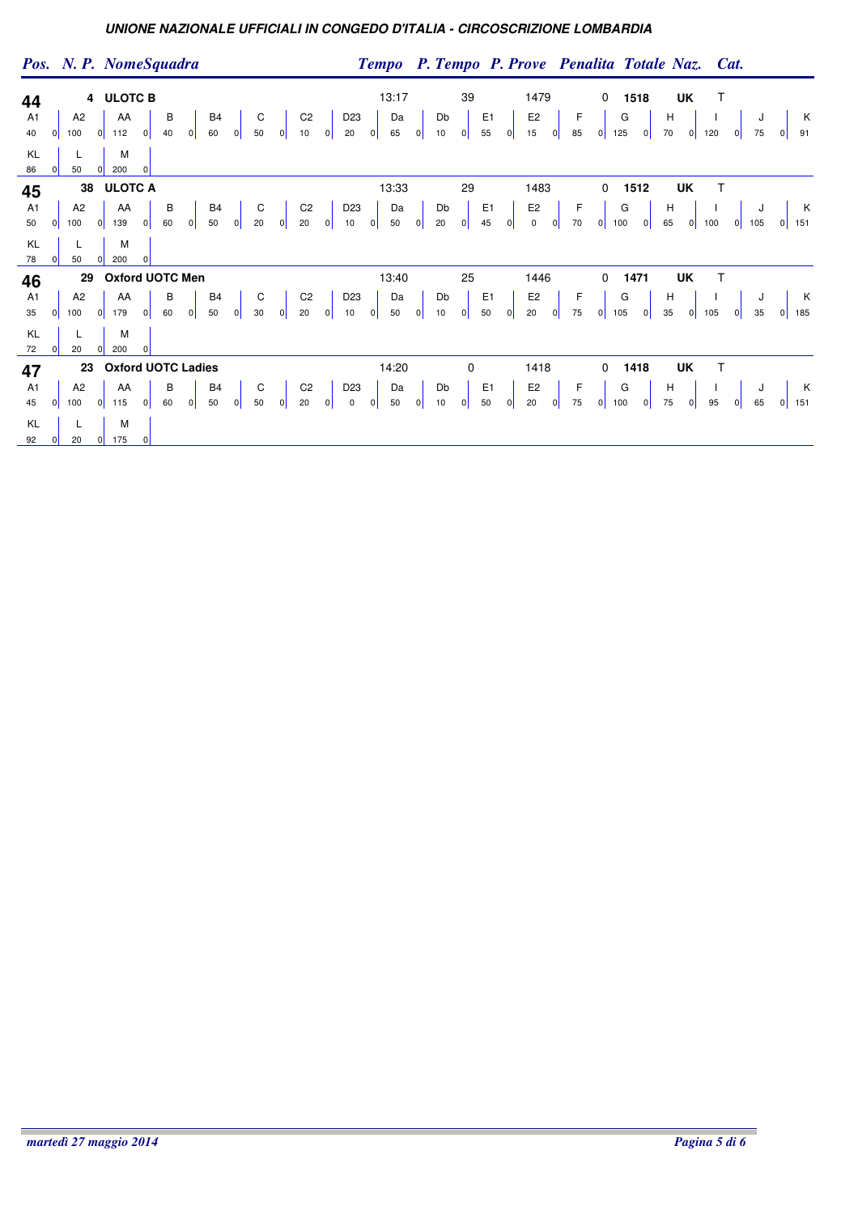|                                        |                    |                                  | Pos. N. P. NomeSquadra                                         |                |         |   |                      |                |                                         |   |                      |   |                                 |   |                   |                         |          |          |                      |         |                                       |                         |                    |                                                                        |                                                          |   | Tempo P. Tempo P. Prove Penalita Totale Naz. Cat. |   |                                                               |    |              |                                        |              |
|----------------------------------------|--------------------|----------------------------------|----------------------------------------------------------------|----------------|---------|---|----------------------|----------------|-----------------------------------------|---|----------------------|---|---------------------------------|---|-------------------|-------------------------|----------|----------|----------------------|---------|---------------------------------------|-------------------------|--------------------|------------------------------------------------------------------------|----------------------------------------------------------|---|---------------------------------------------------|---|---------------------------------------------------------------|----|--------------|----------------------------------------|--------------|
| 44<br>A1<br>40<br>KL<br>86             | 0 <br> 0           | A <sub>2</sub><br>100<br>L<br>50 | 4 ULOTC B<br>AA<br> 0 <br>112<br>M<br>200<br> 0                | 0              | В<br>40 | 0 | B <sub>4</sub><br>60 | 0              | C<br>50                                 | 0 | C <sub>2</sub><br>10 | 0 | D <sub>23</sub><br>20           | 0 | 13:17<br>Da<br>65 | 0                       | Db<br>10 | 39<br> 0 | E <sub>1</sub><br>55 | $\circ$ | 1479<br>E <sub>2</sub><br>15          | 0                       | F<br>85            | 0<br> 0                                                                | 1518<br>G<br>125                                         | 0 | UK<br>$\boldsymbol{\mathsf{H}}$<br>70             | 0 | Т<br>120                                                      | ol | J<br>75      |                                        | K K<br>91    |
| 45<br>A <sub>1</sub><br>50<br>KL<br>78 | $\mathbf{0}$<br> 0 | A2<br>100<br>L<br>50             | 38 ULOTC A<br>AA<br>139<br> 0 <br>M<br>200<br> 0               | 0 <br>$\Omega$ | в<br>60 | 0 | B <sub>4</sub><br>50 | 0              | $\mathsf{C}$<br>20                      | 0 | C <sub>2</sub><br>20 | 0 | D <sub>23</sub><br>10           | 0 | 13:33<br>Da<br>50 | 0                       | Db<br>20 | 29<br> 0 | E <sub>1</sub><br>45 | 0       | 1483<br>E <sub>2</sub><br>$\mathbf 0$ | 0                       | $\mathsf F$<br>70  | 0<br> 0                                                                | 1512<br>G<br>100                                         | 0 | UK<br>$\mathsf H$<br>65                           | 0 | $\top$<br>100                                                 | 0  | J<br>105     | $0$ 151                                | $\mathsf{K}$ |
| 46<br>A1<br>35<br>KL<br>72             | $\mathbf{0}$<br> 0 | A2<br>100<br>L<br>20             | 29 Oxford UOTC Men<br>AA<br> 0 <br>179<br>M<br>200<br> 0       | 0              | В<br>60 | 0 | B <sub>4</sub><br>50 | $\overline{0}$ | $\begin{bmatrix} 1 \\ 30 \end{bmatrix}$ |   | C <sub>2</sub><br>20 | 0 | D <sub>23</sub><br>$10 \quad 0$ |   | 13:40<br>Da<br>50 | $\overline{\mathbf{0}}$ | Db<br>10 | 25<br> 0 | E <sub>1</sub><br>50 | 0       | 1446<br>E <sub>2</sub><br>20          | $\overline{0}$          | $\mathsf{F}$<br>75 | 0<br>$\begin{array}{c c}\n & \text{G} \\ \hline\n0 & 105\n\end{array}$ | 1471<br>G                                                | 0 | <b>UK</b><br>$\frac{H}{35}$                       |   | Т<br>$\begin{array}{c c} & & 1 \\ \hline 0 & 105 \end{array}$ |    | J            | $0 \overline{\smash{)}\phantom{0}185}$ | $\mathsf{K}$ |
| 47<br>A <sub>1</sub><br>45<br>KL<br>92 | $\Omega$<br> 0     | A2<br>100<br>L<br>20             | 23 Oxford UOTC Ladies<br>AA<br>$\Omega$<br>115<br>M<br>$0$ 175 | 0 <br>$\Omega$ | В<br>60 | 0 | B <sub>4</sub><br>50 | 0              | C<br>50                                 | 0 | C <sub>2</sub><br>20 | 0 | D <sub>23</sub><br>$\mathbf 0$  | 0 | 14:20<br>Da<br>50 | 0                       | Db<br>10 | 0<br> 0  | E <sub>1</sub><br>50 | $\circ$ | 1418<br>E <sub>2</sub><br>20          | $\overline{\mathbf{0}}$ | $\frac{F}{75}$     | 0                                                                      | 1418<br>G<br>$\begin{bmatrix} 0 & 100 & 0 \end{bmatrix}$ |   | UK<br>$\frac{H}{75}$                              | 0 | $\top$<br>95                                                  |    | $\mathsf{J}$ |                                        | $\mathsf{K}$ |